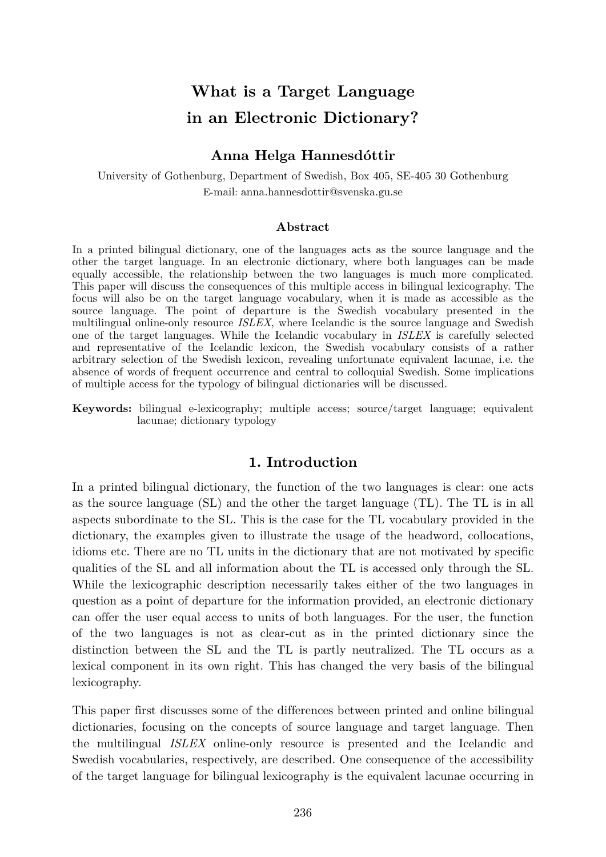# **What is a Target Language in an Electronic Dictionary?**

#### **Anna Helga Hannesdóttir**

University of Gothenburg, Department of Swedish, Box 405, SE-405 30 Gothenburg E-mail: [anna.hannesdottir@svenska.gu.se](mailto:anna.hannesdottir@svenska.gu.se)

#### **Abstract**

In a printed bilingual dictionary, one of the languages acts as the source language and the other the target language. In an electronic dictionary, where both languages can be made equally accessible, the relationship between the two languages is much more complicated. This paper will discuss the consequences of this multiple access in bilingual lexicography. The focus will also be on the target language vocabulary, when it is made as accessible as the source language. The point of departure is the Swedish vocabulary presented in the multilingual online-only resource *ISLEX*, where Icelandic is the source language and Swedish one of the target languages. While the Icelandic vocabulary in *ISLEX* is carefully selected and representative of the Icelandic lexicon, the Swedish vocabulary consists of a rather arbitrary selection of the Swedish lexicon, revealing unfortunate equivalent lacunae, i.e. the absence of words of frequent occurrence and central to colloquial Swedish. Some implications of multiple access for the typology of bilingual dictionaries will be discussed.

**Keywords:** bilingual e-lexicography; multiple access; source/target language; equivalent lacunae; dictionary typology

#### **1. Introduction**

In a printed bilingual dictionary, the function of the two languages is clear: one acts as the source language (SL) and the other the target language (TL). The TL is in all aspects subordinate to the SL. This is the case for the TL vocabulary provided in the dictionary, the examples given to illustrate the usage of the headword, collocations, idioms etc. There are no TL units in the dictionary that are not motivated by specific qualities of the SL and all information about the TL is accessed only through the SL. While the lexicographic description necessarily takes either of the two languages in question as a point of departure for the information provided, an electronic dictionary can offer the user equal access to units of both languages. For the user, the function of the two languages is not as clear-cut as in the printed dictionary since the distinction between the SL and the TL is partly neutralized. The TL occurs as a lexical component in its own right. This has changed the very basis of the bilingual lexicography.

This paper first discusses some of the differences between printed and online bilingual dictionaries, focusing on the concepts of source language and target language. Then the multilingual *ISLEX* online-only resource is presented and the Icelandic and Swedish vocabularies, respectively, are described. One consequence of the accessibility of the target language for bilingual lexicography is the equivalent lacunae occurring in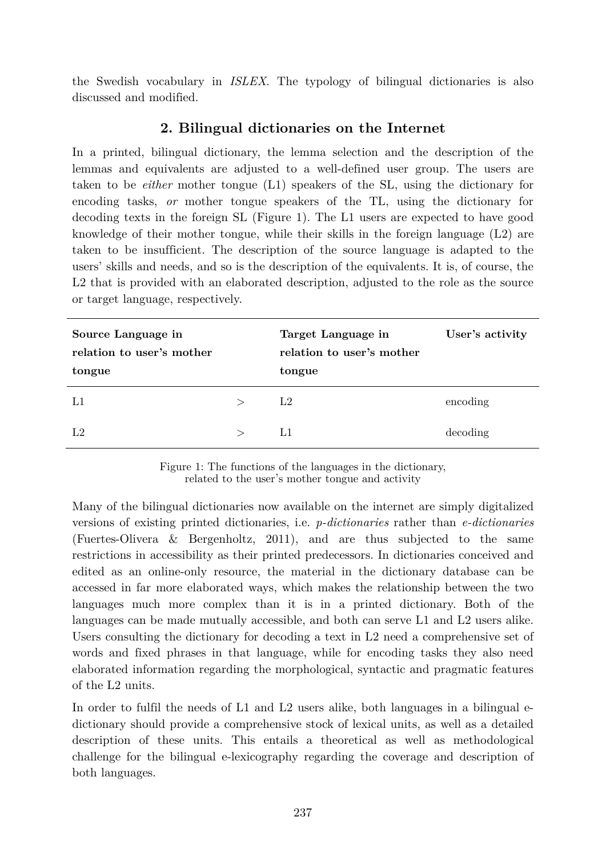the Swedish vocabulary in *ISLEX*. The typology of bilingual dictionaries is also discussed and modified.

## **2. Bilingual dictionaries on the Internet**

In a printed, bilingual dictionary, the lemma selection and the description of the lemmas and equivalents are adjusted to a well-defined user group. The users are taken to be *either* mother tongue (L1) speakers of the SL, using the dictionary for encoding tasks, *or* mother tongue speakers of the TL, using the dictionary for decoding texts in the foreign SL (Figure 1). The L1 users are expected to have good knowledge of their mother tongue, while their skills in the foreign language (L2) are taken to be insufficient. The description of the source language is adapted to the users' skills and needs, and so is the description of the equivalents. It is, of course, the L<sub>2</sub> that is provided with an elaborated description, adjusted to the role as the source or target language, respectively.

| Source Language in<br>relation to user's mother<br>tongue |       | Target Language in<br>relation to user's mother<br>tongue | User's activity |
|-----------------------------------------------------------|-------|-----------------------------------------------------------|-----------------|
| L1                                                        | $\gt$ | L <sub>2</sub>                                            | encoding        |
| L <sub>2</sub>                                            | $\gt$ | L1                                                        | decoding        |

Figure 1: The functions of the languages in the dictionary, related to the user's mother tongue and activity

Many of the bilingual dictionaries now available on the internet are simply digitalized versions of existing printed dictionaries, i.e. *p-dictionaries* rather than *e-dictionaries* (Fuertes-Olivera & Bergenholtz, 2011), and are thus subjected to the same restrictions in accessibility as their printed predecessors. In dictionaries conceived and edited as an online-only resource, the material in the dictionary database can be accessed in far more elaborated ways, which makes the relationship between the two languages much more complex than it is in a printed dictionary. Both of the languages can be made mutually accessible, and both can serve L1 and L2 users alike. Users consulting the dictionary for decoding a text in L2 need a comprehensive set of words and fixed phrases in that language, while for encoding tasks they also need elaborated information regarding the morphological, syntactic and pragmatic features of the L2 units.

In order to fulfil the needs of L1 and L2 users alike, both languages in a bilingual edictionary should provide a comprehensive stock of lexical units, as well as a detailed description of these units. This entails a theoretical as well as methodological challenge for the bilingual e-lexicography regarding the coverage and description of both languages.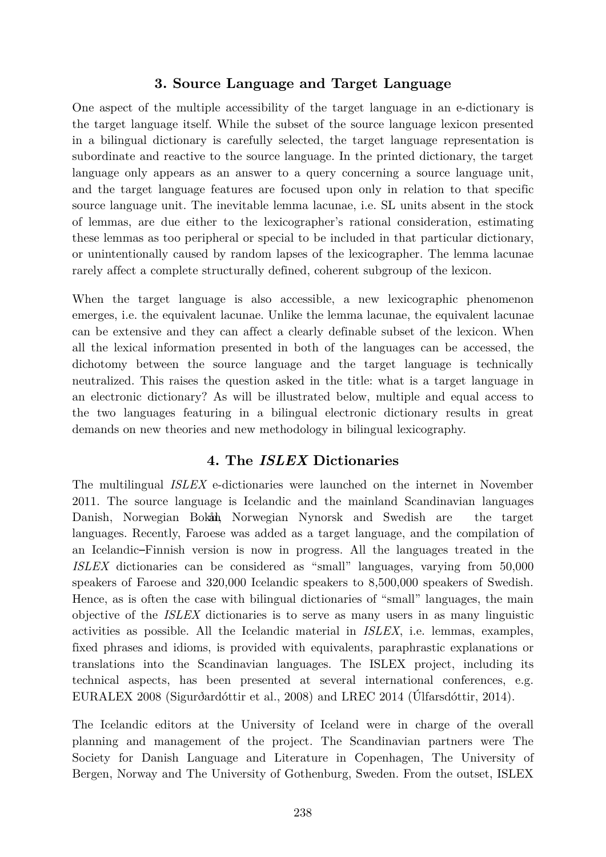## **3. Source Language and Target Language**

One aspect of the multiple accessibility of the target language in an e-dictionary is the target language itself. While the subset of the source language lexicon presented in a bilingual dictionary is carefully selected, the target language representation is subordinate and reactive to the source language. In the printed dictionary, the target language only appears as an answer to a query concerning a source language unit, and the target language features are focused upon only in relation to that specific source language unit. The inevitable lemma lacunae, i.e. SL units absent in the stock of lemmas, are due either to the lexicographer's rational consideration, estimating these lemmas as too peripheral or special to be included in that particular dictionary, or unintentionally caused by random lapses of the lexicographer. The lemma lacunae rarely affect a complete structurally defined, coherent subgroup of the lexicon.

When the target language is also accessible, a new lexicographic phenomenon emerges, i.e. the equivalent lacunae. Unlike the lemma lacunae, the equivalent lacunae can be extensive and they can affect a clearly definable subset of the lexicon. When all the lexical information presented in both of the languages can be accessed, the dichotomy between the source language and the target language is technically neutralized. This raises the question asked in the title: what is a target language in an electronic dictionary? As will be illustrated below, multiple and equal access to the two languages featuring in a bilingual electronic dictionary results in great demands on new theories and new methodology in bilingual lexicography.

#### **4. The** *ISLEX* **Dictionaries**

The multilingual *ISLEX* e-dictionaries were launched on the internet in November 2011. The source language is Icelandic and the mainland Scandinavian languages Danish, Norwegian Bokmål, Norwegian Nynorsk and Swedish are the target languages. Recently, Faroese was added as a target language, and the compilation of an Icelandic–Finnish version is now in progress. All the languages treated in the *ISLEX* dictionaries can be considered as "small" languages, varying from 50,000 speakers of Faroese and 320,000 Icelandic speakers to 8,500,000 speakers of Swedish. Hence, as is often the case with bilingual dictionaries of "small" languages, the main objective of the *ISLEX* dictionaries is to serve as many users in as many linguistic activities as possible. All the Icelandic material in *ISLEX*, i.e. lemmas, examples, fixed phrases and idioms, is provided with equivalents, paraphrastic explanations or translations into the Scandinavian languages. The ISLEX project, including its technical aspects, has been presented at several international conferences, e.g. EURALEX 2008 (Sigurðardóttir et al., 2008) and LREC 2014 (Úlfarsdóttir, 2014).

The Icelandic editors at the University of Iceland were in charge of the overall planning and management of the project. The Scandinavian partners were The Society for Danish Language and Literature in Copenhagen, The University of Bergen, Norway and The University of Gothenburg, Sweden. From the outset, ISLEX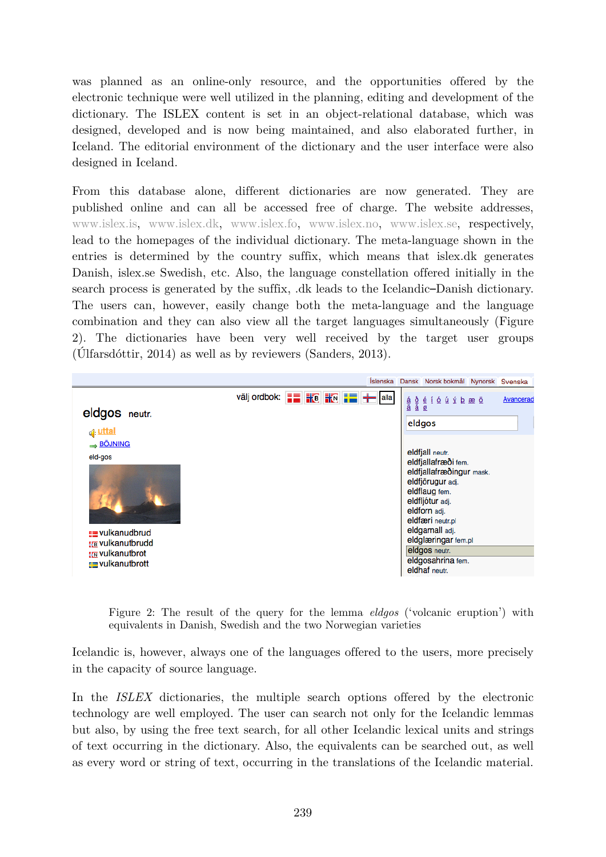was planned as an online-only resource, and the opportunities offered by the electronic technique were well utilized in the planning, editing and development of the dictionary. The ISLEX content is set in an object-relational database, which was designed, developed and is now being maintained, and also elaborated further, in Iceland. The editorial environment of the dictionary and the user interface were also designed in Iceland.

From this database alone, different dictionaries are now generated. They are published online and can all be accessed free of charge. The website addresses, www.islex.is, www.islex.dk, www.islex.fo, www.islex.no, www.islex.se, respectively, lead to the homepages of the individual dictionary. The meta-language shown in the entries is determined by the country suffix, which means that islex.dk generates Danish, islex.se Swedish, etc. Also, the language constellation offered initially in the search process is generated by the suffix, .dk leads to the Icelandic–Danish dictionary. The users can, however, easily change both the meta-language and the language combination and they can also view all the target languages simultaneously (Figure 2). The dictionaries have been very well received by the target user groups (Úlfarsdóttir, 2014) as well as by reviewers (Sanders, 2013).

|                         |                                                                                                                                                                                                                                                                                                                    | Íslenska Dansk Norsk bokmål Nynorsk Svenska                                                                                                                                                                                                                                                                                                                                                                                                                                                                                                                                                                                                                                                                                                                                                 |  |  |
|-------------------------|--------------------------------------------------------------------------------------------------------------------------------------------------------------------------------------------------------------------------------------------------------------------------------------------------------------------|---------------------------------------------------------------------------------------------------------------------------------------------------------------------------------------------------------------------------------------------------------------------------------------------------------------------------------------------------------------------------------------------------------------------------------------------------------------------------------------------------------------------------------------------------------------------------------------------------------------------------------------------------------------------------------------------------------------------------------------------------------------------------------------------|--|--|
|                         | välj ordbok: $\frac{1}{2}$ $\frac{1}{2}$ $\frac{1}{2}$ $\frac{1}{2}$ $\frac{1}{2}$ $\frac{1}{2}$ $\frac{1}{2}$ $\frac{1}{2}$ $\frac{1}{2}$ $\frac{1}{2}$ $\frac{1}{2}$ $\frac{1}{2}$ $\frac{1}{2}$ $\frac{1}{2}$ $\frac{1}{2}$ $\frac{1}{2}$ $\frac{1}{2}$ $\frac{1}{2}$ $\frac{1}{2}$ $\frac{1}{2}$ $\frac{1}{2}$ | $\begin{array}{cccccccccccccc} \underline{\dot{\alpha}} & \underline{\dot{\delta}} & \underline{\dot{\alpha}} & \underline{\dot{\epsilon}} & \underline{\dot{\epsilon}} & \underline{\dot{\epsilon}} & \underline{\dot{\alpha}} & \underline{\dot{\alpha}} & \underline{\dot{\alpha}} & \underline{\dot{\alpha}} & \underline{\dot{\alpha}} & \underline{\dot{\alpha}} & \underline{\dot{\alpha}} & \underline{\dot{\alpha}} & \underline{\dot{\alpha}} & \underline{\dot{\alpha}} & \underline{\dot{\alpha}} & \underline{\dot{\alpha}} & \underline{\dot{\alpha}} & \underline{\dot{\alpha}} & \underline{\dot{\alpha}} & \underline{\dot{\alpha}} & \underline{\dot{\alpha}} & \underline{\dot{\alpha}} & \underline{\dot{\alpha}} & \underline{\dot{\alpha}} & \underline$<br>Avancerad |  |  |
| eldgos neutr.           |                                                                                                                                                                                                                                                                                                                    | eldgos                                                                                                                                                                                                                                                                                                                                                                                                                                                                                                                                                                                                                                                                                                                                                                                      |  |  |
| d: uttal                |                                                                                                                                                                                                                                                                                                                    |                                                                                                                                                                                                                                                                                                                                                                                                                                                                                                                                                                                                                                                                                                                                                                                             |  |  |
| BÖJNING                 |                                                                                                                                                                                                                                                                                                                    |                                                                                                                                                                                                                                                                                                                                                                                                                                                                                                                                                                                                                                                                                                                                                                                             |  |  |
| eld-gos                 |                                                                                                                                                                                                                                                                                                                    | eldfjall neutr.<br>eldfjallafræði fem.                                                                                                                                                                                                                                                                                                                                                                                                                                                                                                                                                                                                                                                                                                                                                      |  |  |
|                         |                                                                                                                                                                                                                                                                                                                    | eldfjallafræðingur mask.                                                                                                                                                                                                                                                                                                                                                                                                                                                                                                                                                                                                                                                                                                                                                                    |  |  |
|                         |                                                                                                                                                                                                                                                                                                                    | eldfjörugur adj.<br>eldflaug fem.<br>eldfljótur adj.                                                                                                                                                                                                                                                                                                                                                                                                                                                                                                                                                                                                                                                                                                                                        |  |  |
|                         |                                                                                                                                                                                                                                                                                                                    |                                                                                                                                                                                                                                                                                                                                                                                                                                                                                                                                                                                                                                                                                                                                                                                             |  |  |
|                         |                                                                                                                                                                                                                                                                                                                    | eldforn adj.                                                                                                                                                                                                                                                                                                                                                                                                                                                                                                                                                                                                                                                                                                                                                                                |  |  |
|                         |                                                                                                                                                                                                                                                                                                                    | eldfæri neutr.pl                                                                                                                                                                                                                                                                                                                                                                                                                                                                                                                                                                                                                                                                                                                                                                            |  |  |
| <u>=</u> vulkanudbrud   |                                                                                                                                                                                                                                                                                                                    | eldgamall adj.                                                                                                                                                                                                                                                                                                                                                                                                                                                                                                                                                                                                                                                                                                                                                                              |  |  |
| <b>HE vulkanutbrudd</b> |                                                                                                                                                                                                                                                                                                                    | eldglæringar fem.pl                                                                                                                                                                                                                                                                                                                                                                                                                                                                                                                                                                                                                                                                                                                                                                         |  |  |
| <b>HIV</b> vulkanutbrot |                                                                                                                                                                                                                                                                                                                    | eldgos neutr.                                                                                                                                                                                                                                                                                                                                                                                                                                                                                                                                                                                                                                                                                                                                                                               |  |  |
| <b>T</b> vulkanutbrott  |                                                                                                                                                                                                                                                                                                                    | eldgosahrina fem.                                                                                                                                                                                                                                                                                                                                                                                                                                                                                                                                                                                                                                                                                                                                                                           |  |  |
|                         |                                                                                                                                                                                                                                                                                                                    | eldhaf neutr.                                                                                                                                                                                                                                                                                                                                                                                                                                                                                                                                                                                                                                                                                                                                                                               |  |  |

Figure 2: The result of the query for the lemma *eldgos* ('volcanic eruption') with equivalents in Danish, Swedish and the two Norwegian varieties

Icelandic is, however, always one of the languages offered to the users, more precisely in the capacity of source language.

In the *ISLEX* dictionaries, the multiple search options offered by the electronic technology are well employed. The user can search not only for the Icelandic lemmas but also, by using the free text search, for all other Icelandic lexical units and strings of text occurring in the dictionary. Also, the equivalents can be searched out, as well as every word or string of text, occurring in the translations of the Icelandic material.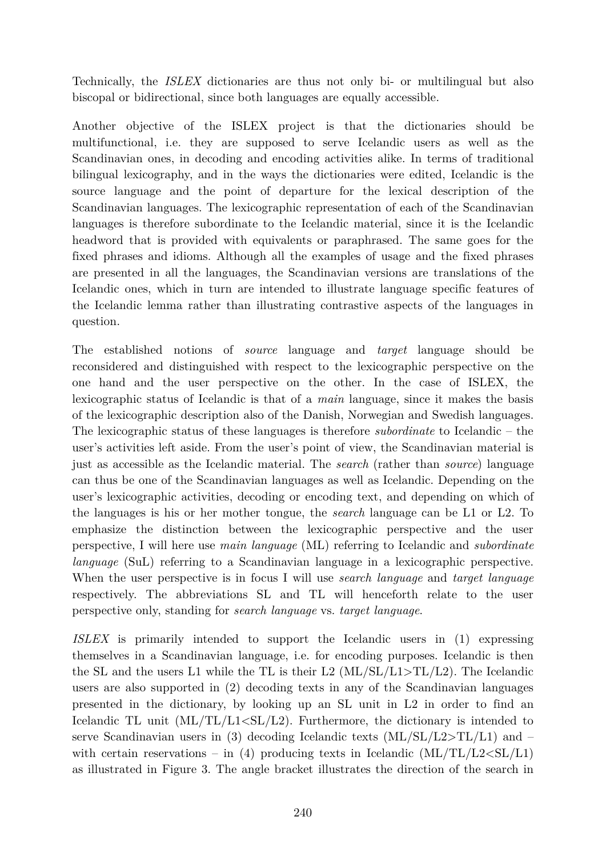Technically, the *ISLEX* dictionaries are thus not only bi- or multilingual but also biscopal or bidirectional, since both languages are equally accessible.

Another objective of the ISLEX project is that the dictionaries should be multifunctional, i.e. they are supposed to serve Icelandic users as well as the Scandinavian ones, in decoding and encoding activities alike. In terms of traditional bilingual lexicography, and in the ways the dictionaries were edited, Icelandic is the source language and the point of departure for the lexical description of the Scandinavian languages. The lexicographic representation of each of the Scandinavian languages is therefore subordinate to the Icelandic material, since it is the Icelandic headword that is provided with equivalents or paraphrased. The same goes for the fixed phrases and idioms. Although all the examples of usage and the fixed phrases are presented in all the languages, the Scandinavian versions are translations of the Icelandic ones, which in turn are intended to illustrate language specific features of the Icelandic lemma rather than illustrating contrastive aspects of the languages in question.

The established notions of *source* language and *target* language should be reconsidered and distinguished with respect to the lexicographic perspective on the one hand and the user perspective on the other. In the case of ISLEX, the lexicographic status of Icelandic is that of a *main* language, since it makes the basis of the lexicographic description also of the Danish, Norwegian and Swedish languages. The lexicographic status of these languages is therefore *subordinate* to Icelandic – the user's activities left aside. From the user's point of view, the Scandinavian material is just as accessible as the Icelandic material. The *search* (rather than *source*) language can thus be one of the Scandinavian languages as well as Icelandic. Depending on the user's lexicographic activities, decoding or encoding text, and depending on which of the languages is his or her mother tongue, the *search* language can be L1 or L2. To emphasize the distinction between the lexicographic perspective and the user perspective, I will here use *main language* (ML) referring to Icelandic and *subordinate language* (SuL) referring to a Scandinavian language in a lexicographic perspective. When the user perspective is in focus I will use *search language* and *target language* respectively. The abbreviations SL and TL will henceforth relate to the user perspective only, standing for *search language* vs. *target language*.

*ISLEX* is primarily intended to support the Icelandic users in (1) expressing themselves in a Scandinavian language, i.e. for encoding purposes. Icelandic is then the SL and the users L1 while the TL is their L2  $(ML/SL/L1>TL/L2)$ . The Icelandic users are also supported in (2) decoding texts in any of the Scandinavian languages presented in the dictionary, by looking up an SL unit in L2 in order to find an Icelandic TL unit (ML/TL/L1<SL/L2). Furthermore, the dictionary is intended to serve Scandinavian users in (3) decoding Icelandic texts  $(ML/SL/L2 > TL/L1)$  and – with certain reservations – in (4) producing texts in Icelandic  $(ML/TL/L2 < SL/L1)$ as illustrated in Figure 3. The angle bracket illustrates the direction of the search in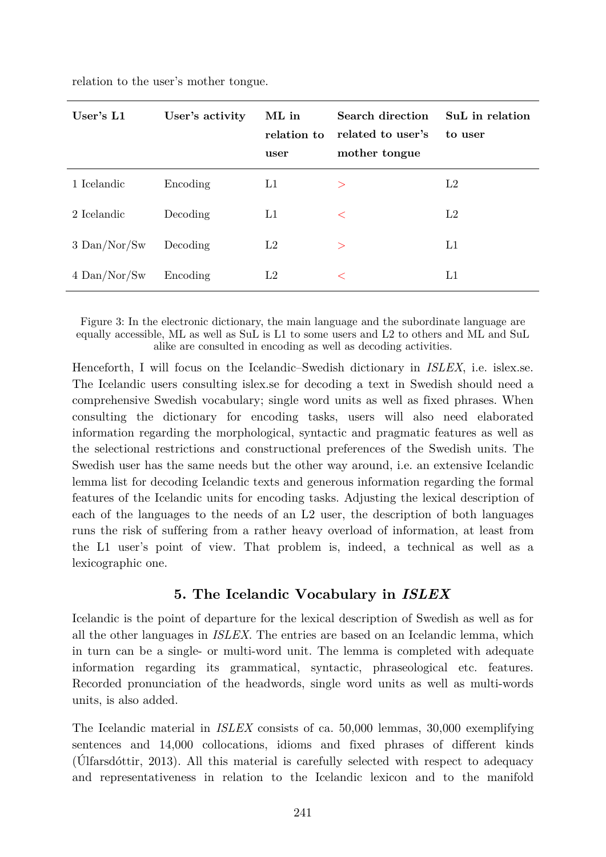| User's $L1$    | User's activity | ML in<br>relation to<br>user | <b>Search direction</b><br>related to user's<br>mother tongue | SuL in relation<br>to user |
|----------------|-----------------|------------------------------|---------------------------------------------------------------|----------------------------|
| 1 Icelandic    | Encoding        | L1                           | $\geq$                                                        | L2                         |
| 2 Icelandic    | Decoding        | L1                           | $\lt$                                                         | L2                         |
| $3$ Dan/Nor/Sw | Decoding        | L2                           | $\geq$                                                        | L1                         |
| $4$ Dan/Nor/Sw | Encoding        | L2                           | $\lt$                                                         | L1                         |

relation to the user's mother tongue.

Figure 3: In the electronic dictionary, the main language and the subordinate language are equally accessible, ML as well as SuL is L1 to some users and L2 to others and ML and SuL alike are consulted in encoding as well as decoding activities.

Henceforth, I will focus on the Icelandic–Swedish dictionary in *ISLEX*, i.e. islex.se. The Icelandic users consulting islex.se for decoding a text in Swedish should need a comprehensive Swedish vocabulary; single word units as well as fixed phrases. When consulting the dictionary for encoding tasks, users will also need elaborated information regarding the morphological, syntactic and pragmatic features as well as the selectional restrictions and constructional preferences of the Swedish units. The Swedish user has the same needs but the other way around, i.e. an extensive Icelandic lemma list for decoding Icelandic texts and generous information regarding the formal features of the Icelandic units for encoding tasks. Adjusting the lexical description of each of the languages to the needs of an L2 user, the description of both languages runs the risk of suffering from a rather heavy overload of information, at least from the L1 user's point of view. That problem is, indeed, a technical as well as a lexicographic one.

## **5. The Icelandic Vocabulary in** *ISLEX*

Icelandic is the point of departure for the lexical description of Swedish as well as for all the other languages in *ISLEX*. The entries are based on an Icelandic lemma, which in turn can be a single- or multi-word unit. The lemma is completed with adequate information regarding its grammatical, syntactic, phraseological etc. features. Recorded pronunciation of the headwords, single word units as well as multi-words units, is also added.

The Icelandic material in *ISLEX* consists of ca. 50,000 lemmas, 30,000 exemplifying sentences and 14,000 collocations, idioms and fixed phrases of different kinds (Úlfarsdóttir, 2013). All this material is carefully selected with respect to adequacy and representativeness in relation to the Icelandic lexicon and to the manifold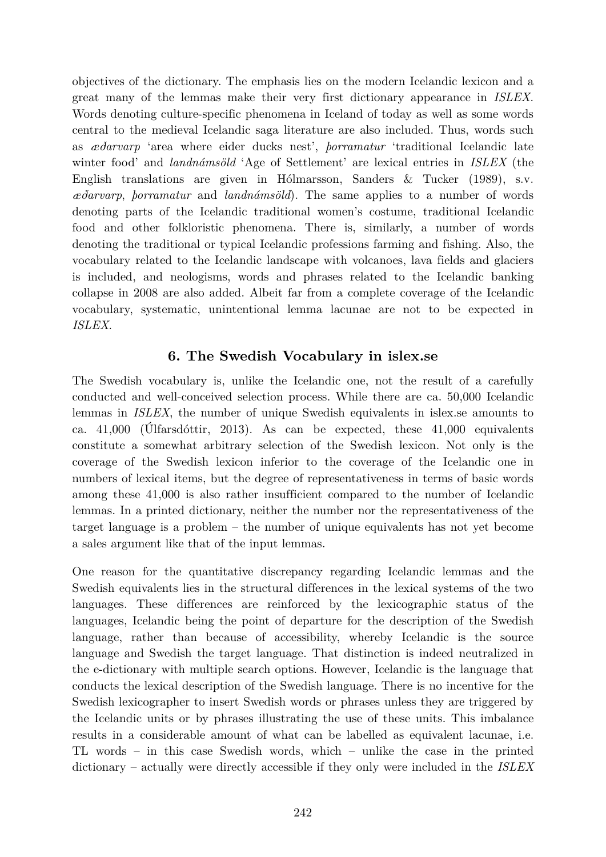objectives of the dictionary. The emphasis lies on the modern Icelandic lexicon and a great many of the lemmas make their very first dictionary appearance in *ISLEX*. Words denoting culture-specific phenomena in Iceland of today as well as some words central to the medieval Icelandic saga literature are also included. Thus, words such as *æðarvarp* 'area where eider ducks nest', *þorramatur* 'traditional Icelandic late winter food' and *landnámsöld* 'Age of Settlement' are lexical entries in *ISLEX* (the English translations are given in Hólmarsson, Sanders & Tucker (1989), s.v. *æðarvarp*, *þorramatur* and *landnámsöld*). The same applies to a number of words denoting parts of the Icelandic traditional women's costume, traditional Icelandic food and other folkloristic phenomena. There is, similarly, a number of words denoting the traditional or typical Icelandic professions farming and fishing. Also, the vocabulary related to the Icelandic landscape with volcanoes, lava fields and glaciers is included, and neologisms, words and phrases related to the Icelandic banking collapse in 2008 are also added. Albeit far from a complete coverage of the Icelandic vocabulary, systematic, unintentional lemma lacunae are not to be expected in *ISLEX*.

#### **6. The Swedish Vocabulary in islex.se**

The Swedish vocabulary is, unlike the Icelandic one, not the result of a carefully conducted and well-conceived selection process. While there are ca. 50,000 Icelandic lemmas in *ISLEX*, the number of unique Swedish equivalents in islex.se amounts to ca. 41,000 (Úlfarsdóttir, 2013). As can be expected, these 41,000 equivalents constitute a somewhat arbitrary selection of the Swedish lexicon. Not only is the coverage of the Swedish lexicon inferior to the coverage of the Icelandic one in numbers of lexical items, but the degree of representativeness in terms of basic words among these 41,000 is also rather insufficient compared to the number of Icelandic lemmas. In a printed dictionary, neither the number nor the representativeness of the target language is a problem – the number of unique equivalents has not yet become a sales argument like that of the input lemmas.

One reason for the quantitative discrepancy regarding Icelandic lemmas and the Swedish equivalents lies in the structural differences in the lexical systems of the two languages. These differences are reinforced by the lexicographic status of the languages, Icelandic being the point of departure for the description of the Swedish language, rather than because of accessibility, whereby Icelandic is the source language and Swedish the target language. That distinction is indeed neutralized in the e-dictionary with multiple search options. However, Icelandic is the language that conducts the lexical description of the Swedish language. There is no incentive for the Swedish lexicographer to insert Swedish words or phrases unless they are triggered by the Icelandic units or by phrases illustrating the use of these units. This imbalance results in a considerable amount of what can be labelled as equivalent lacunae, i.e. TL words – in this case Swedish words, which – unlike the case in the printed dictionary – actually were directly accessible if they only were included in the *ISLEX*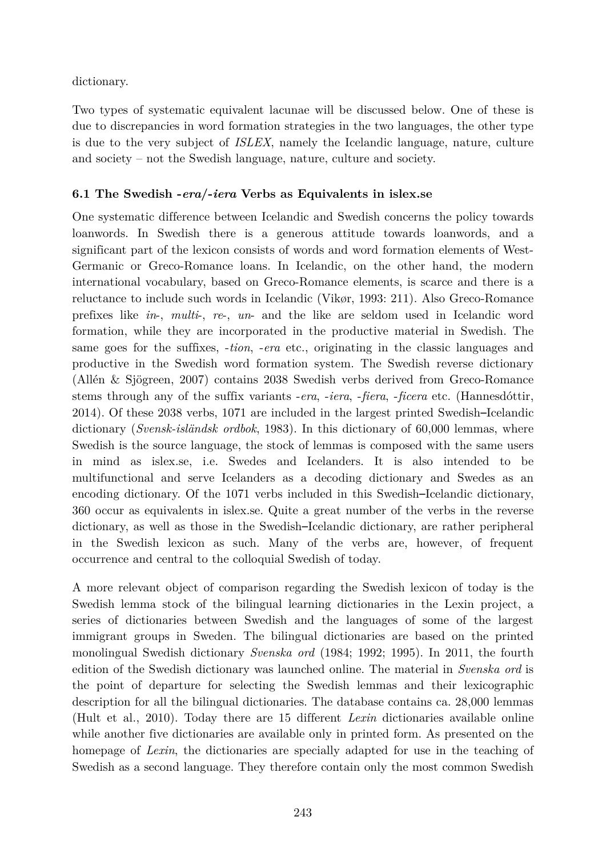dictionary.

Two types of systematic equivalent lacunae will be discussed below. One of these is due to discrepancies in word formation strategies in the two languages, the other type is due to the very subject of *ISLEX*, namely the Icelandic language, nature, culture and society – not the Swedish language, nature, culture and society.

#### **6.1 The Swedish -***era***/-***iera* **Verbs as Equivalents in islex.se**

One systematic difference between Icelandic and Swedish concerns the policy towards loanwords. In Swedish there is a generous attitude towards loanwords, and a significant part of the lexicon consists of words and word formation elements of West-Germanic or Greco-Romance loans. In Icelandic, on the other hand, the modern international vocabulary, based on Greco-Romance elements, is scarce and there is a reluctance to include such words in Icelandic (Vikør, 1993: 211). Also Greco-Romance prefixes like *in*-, *multi*-, *re*-, *un*- and the like are seldom used in Icelandic word formation, while they are incorporated in the productive material in Swedish. The same goes for the suffixes, -*tion*, -*era* etc., originating in the classic languages and productive in the Swedish word formation system. The Swedish reverse dictionary (Allén & Sjögreen, 2007) contains 2038 Swedish verbs derived from Greco-Romance stems through any of the suffix variants -*era*, -*iera*, -*fiera*, -*ficera* etc. (Hannesdóttir, 2014). Of these 2038 verbs, 1071 are included in the largest printed Swedish–Icelandic dictionary (*Svensk-isländsk ordbok*, 1983). In this dictionary of 60,000 lemmas, where Swedish is the source language, the stock of lemmas is composed with the same users in mind as islex.se, i.e. Swedes and Icelanders. It is also intended to be multifunctional and serve Icelanders as a decoding dictionary and Swedes as an encoding dictionary. Of the 1071 verbs included in this Swedish–Icelandic dictionary, 360 occur as equivalents in islex.se. Quite a great number of the verbs in the reverse dictionary, as well as those in the Swedish–Icelandic dictionary, are rather peripheral in the Swedish lexicon as such. Many of the verbs are, however, of frequent occurrence and central to the colloquial Swedish of today.

A more relevant object of comparison regarding the Swedish lexicon of today is the Swedish lemma stock of the bilingual learning dictionaries in the Lexin project, a series of dictionaries between Swedish and the languages of some of the largest immigrant groups in Sweden. The bilingual dictionaries are based on the printed monolingual Swedish dictionary *Svenska ord* (1984; 1992; 1995). In 2011, the fourth edition of the Swedish dictionary was launched online. The material in *Svenska ord* is the point of departure for selecting the Swedish lemmas and their lexicographic description for all the bilingual dictionaries. The database contains ca. 28,000 lemmas (Hult et al., 2010). Today there are 15 different *Lexin* dictionaries available online while another five dictionaries are available only in printed form. As presented on the homepage of *Lexin*, the dictionaries are specially adapted for use in the teaching of Swedish as a second language. They therefore contain only the most common Swedish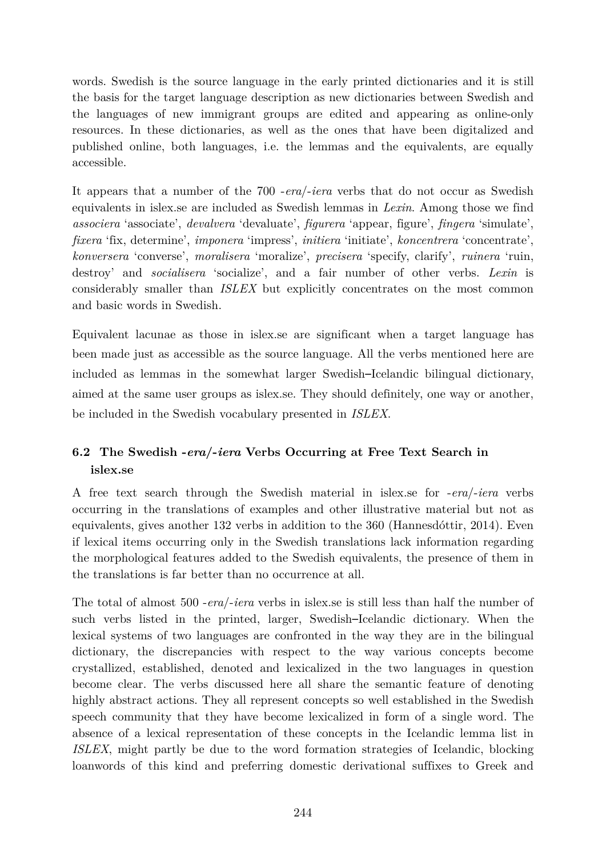words. Swedish is the source language in the early printed dictionaries and it is still the basis for the target language description as new dictionaries between Swedish and the languages of new immigrant groups are edited and appearing as online-only resources. In these dictionaries, as well as the ones that have been digitalized and published online, both languages, i.e. the lemmas and the equivalents, are equally accessible.

It appears that a number of the 700 -*era*/-*iera* verbs that do not occur as Swedish equivalents in islex.se are included as Swedish lemmas in *Lexin*. Among those we find *associera* 'associate', *devalvera* 'devaluate', *figurera* 'appear, figure', *fingera* 'simulate', *fixera* 'fix, determine', *imponera* 'impress', *initiera* 'initiate', *koncentrera* 'concentrate', *konversera* 'converse', *moralisera* 'moralize', *precisera* 'specify, clarify', *ruinera* 'ruin, destroy' and *socialisera* 'socialize', and a fair number of other verbs. *Lexin* is considerably smaller than *ISLEX* but explicitly concentrates on the most common and basic words in Swedish.

Equivalent lacunae as those in islex.se are significant when a target language has been made just as accessible as the source language. All the verbs mentioned here are included as lemmas in the somewhat larger Swedish–Icelandic bilingual dictionary, aimed at the same user groups as islex.se. They should definitely, one way or another, be included in the Swedish vocabulary presented in *ISLEX*.

## **6.2 The Swedish -***era***/-***iera* **Verbs Occurring at Free Text Search in islex.se**

A free text search through the Swedish material in islex.se for -*era*/-*iera* verbs occurring in the translations of examples and other illustrative material but not as equivalents, gives another 132 verbs in addition to the 360 (Hannesdóttir, 2014). Even if lexical items occurring only in the Swedish translations lack information regarding the morphological features added to the Swedish equivalents, the presence of them in the translations is far better than no occurrence at all.

The total of almost 500 -*era*/-*iera* verbs in islex.se is still less than half the number of such verbs listed in the printed, larger, Swedish–Icelandic dictionary. When the lexical systems of two languages are confronted in the way they are in the bilingual dictionary, the discrepancies with respect to the way various concepts become crystallized, established, denoted and lexicalized in the two languages in question become clear. The verbs discussed here all share the semantic feature of denoting highly abstract actions. They all represent concepts so well established in the Swedish speech community that they have become lexicalized in form of a single word. The absence of a lexical representation of these concepts in the Icelandic lemma list in *ISLEX*, might partly be due to the word formation strategies of Icelandic, blocking loanwords of this kind and preferring domestic derivational suffixes to Greek and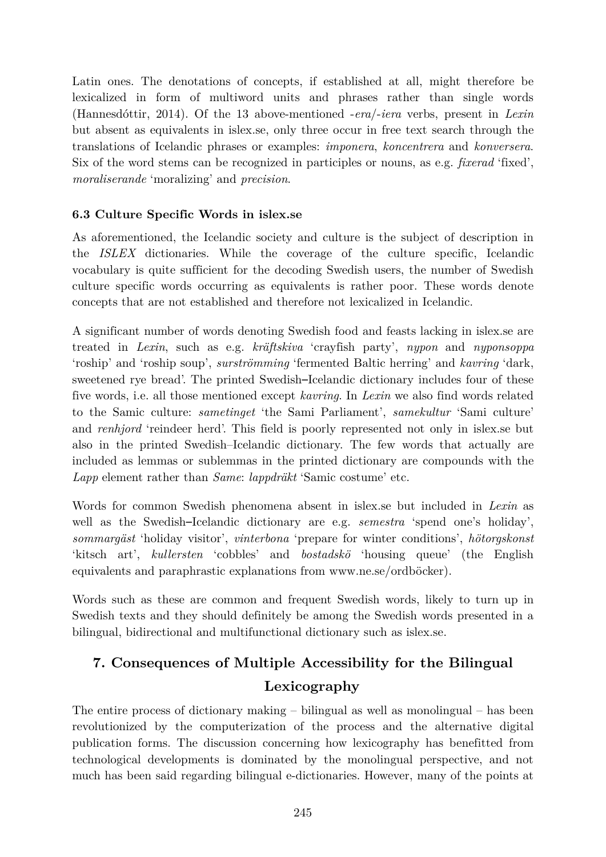Latin ones. The denotations of concepts, if established at all, might therefore be lexicalized in form of multiword units and phrases rather than single words (Hannesdóttir, 2014). Of the 13 above-mentioned -*era*/-*iera* verbs, present in *Lexin* but absent as equivalents in islex.se, only three occur in free text search through the translations of Icelandic phrases or examples: *imponera*, *koncentrera* and *konversera*. Six of the word stems can be recognized in participles or nouns, as e.g. *fixerad* 'fixed', *moraliserande* 'moralizing' and *precision*.

#### **6.3 Culture Specific Words in islex.se**

As aforementioned, the Icelandic society and culture is the subject of description in the *ISLEX* dictionaries. While the coverage of the culture specific, Icelandic vocabulary is quite sufficient for the decoding Swedish users, the number of Swedish culture specific words occurring as equivalents is rather poor. These words denote concepts that are not established and therefore not lexicalized in Icelandic.

A significant number of words denoting Swedish food and feasts lacking in islex.se are treated in *Lexin*, such as e.g. *kräftskiva* 'crayfish party', *nypon* and *nyponsoppa* 'roship' and 'roship soup', *surströmming* 'fermented Baltic herring' and *kavring* 'dark, sweetened rye bread'. The printed Swedish–Icelandic dictionary includes four of these five words, i.e. all those mentioned except *kavring*. In *Lexin* we also find words related to the Samic culture: *sametinget* 'the Sami Parliament', *samekultur* 'Sami culture' and *renhjord* 'reindeer herd'. This field is poorly represented not only in islex.se but also in the printed Swedish–Icelandic dictionary. The few words that actually are included as lemmas or sublemmas in the printed dictionary are compounds with the *Lapp* element rather than *Same*: *lappdräkt* 'Samic costume' etc.

Words for common Swedish phenomena absent in islex.se but included in *Lexin* as well as the Swedish–Icelandic dictionary are e.g. *semestra* 'spend one's holiday', *sommargäst* 'holiday visitor', *vinterbona* 'prepare for winter conditions', *hötorgskonst* 'kitsch art', *kullersten* 'cobbles' and *bostadskö* 'housing queue' (the English equivalents and paraphrastic explanations from [www.ne.se/ordböcker\)](http://www.ne.se/ordböcker).

Words such as these are common and frequent Swedish words, likely to turn up in Swedish texts and they should definitely be among the Swedish words presented in a bilingual, bidirectional and multifunctional dictionary such as islex.se.

## **7. Consequences of Multiple Accessibility for the Bilingual Lexicography**

The entire process of dictionary making – bilingual as well as monolingual – has been revolutionized by the computerization of the process and the alternative digital publication forms. The discussion concerning how lexicography has benefitted from technological developments is dominated by the monolingual perspective, and not much has been said regarding bilingual e-dictionaries. However, many of the points at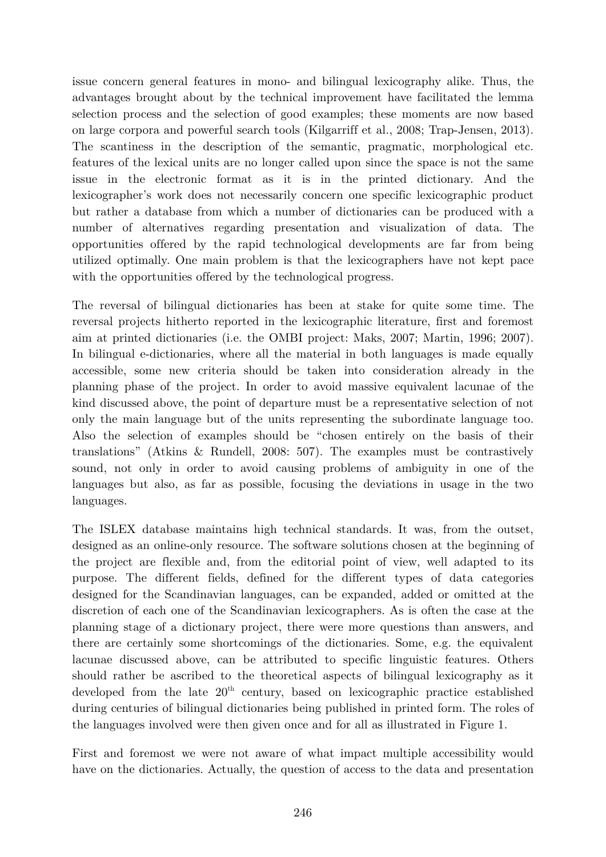issue concern general features in mono- and bilingual lexicography alike. Thus, the advantages brought about by the technical improvement have facilitated the lemma selection process and the selection of good examples; these moments are now based on large corpora and powerful search tools (Kilgarriff et al., 2008; Trap-Jensen, 2013). The scantiness in the description of the semantic, pragmatic, morphological etc. features of the lexical units are no longer called upon since the space is not the same issue in the electronic format as it is in the printed dictionary. And the lexicographer's work does not necessarily concern one specific lexicographic product but rather a database from which a number of dictionaries can be produced with a number of alternatives regarding presentation and visualization of data. The opportunities offered by the rapid technological developments are far from being utilized optimally. One main problem is that the lexicographers have not kept pace with the opportunities offered by the technological progress.

The reversal of bilingual dictionaries has been at stake for quite some time. The reversal projects hitherto reported in the lexicographic literature, first and foremost aim at printed dictionaries (i.e. the OMBI project: Maks, 2007; Martin, 1996; 2007). In bilingual e-dictionaries, where all the material in both languages is made equally accessible, some new criteria should be taken into consideration already in the planning phase of the project. In order to avoid massive equivalent lacunae of the kind discussed above, the point of departure must be a representative selection of not only the main language but of the units representing the subordinate language too. Also the selection of examples should be "chosen entirely on the basis of their translations" (Atkins & Rundell, 2008: 507). The examples must be contrastively sound, not only in order to avoid causing problems of ambiguity in one of the languages but also, as far as possible, focusing the deviations in usage in the two languages.

The ISLEX database maintains high technical standards. It was, from the outset, designed as an online-only resource. The software solutions chosen at the beginning of the project are flexible and, from the editorial point of view, well adapted to its purpose. The different fields, defined for the different types of data categories designed for the Scandinavian languages, can be expanded, added or omitted at the discretion of each one of the Scandinavian lexicographers. As is often the case at the planning stage of a dictionary project, there were more questions than answers, and there are certainly some shortcomings of the dictionaries. Some, e.g. the equivalent lacunae discussed above, can be attributed to specific linguistic features. Others should rather be ascribed to the theoretical aspects of bilingual lexicography as it developed from the late  $20<sup>th</sup>$  century, based on lexicographic practice established during centuries of bilingual dictionaries being published in printed form. The roles of the languages involved were then given once and for all as illustrated in Figure 1.

First and foremost we were not aware of what impact multiple accessibility would have on the dictionaries. Actually, the question of access to the data and presentation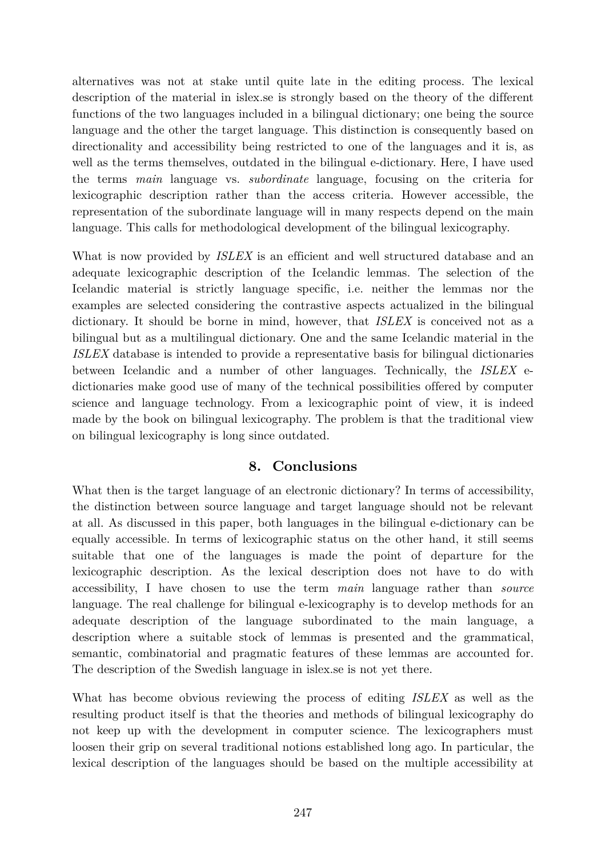alternatives was not at stake until quite late in the editing process. The lexical description of the material in islex.se is strongly based on the theory of the different functions of the two languages included in a bilingual dictionary; one being the source language and the other the target language. This distinction is consequently based on directionality and accessibility being restricted to one of the languages and it is, as well as the terms themselves, outdated in the bilingual e-dictionary. Here, I have used the terms *main* language vs. *subordinate* language, focusing on the criteria for lexicographic description rather than the access criteria. However accessible, the representation of the subordinate language will in many respects depend on the main language. This calls for methodological development of the bilingual lexicography.

What is now provided by *ISLEX* is an efficient and well structured database and an adequate lexicographic description of the Icelandic lemmas. The selection of the Icelandic material is strictly language specific, i.e. neither the lemmas nor the examples are selected considering the contrastive aspects actualized in the bilingual dictionary. It should be borne in mind, however, that *ISLEX* is conceived not as a bilingual but as a multilingual dictionary. One and the same Icelandic material in the *ISLEX* database is intended to provide a representative basis for bilingual dictionaries between Icelandic and a number of other languages. Technically, the *ISLEX* edictionaries make good use of many of the technical possibilities offered by computer science and language technology. From a lexicographic point of view, it is indeed made by the book on bilingual lexicography. The problem is that the traditional view on bilingual lexicography is long since outdated.

#### **8. Conclusions**

What then is the target language of an electronic dictionary? In terms of accessibility, the distinction between source language and target language should not be relevant at all. As discussed in this paper, both languages in the bilingual e-dictionary can be equally accessible. In terms of lexicographic status on the other hand, it still seems suitable that one of the languages is made the point of departure for the lexicographic description. As the lexical description does not have to do with accessibility, I have chosen to use the term *main* language rather than *source* language. The real challenge for bilingual e-lexicography is to develop methods for an adequate description of the language subordinated to the main language, a description where a suitable stock of lemmas is presented and the grammatical, semantic, combinatorial and pragmatic features of these lemmas are accounted for. The description of the Swedish language in islex.se is not yet there.

What has become obvious reviewing the process of editing *ISLEX* as well as the resulting product itself is that the theories and methods of bilingual lexicography do not keep up with the development in computer science. The lexicographers must loosen their grip on several traditional notions established long ago. In particular, the lexical description of the languages should be based on the multiple accessibility at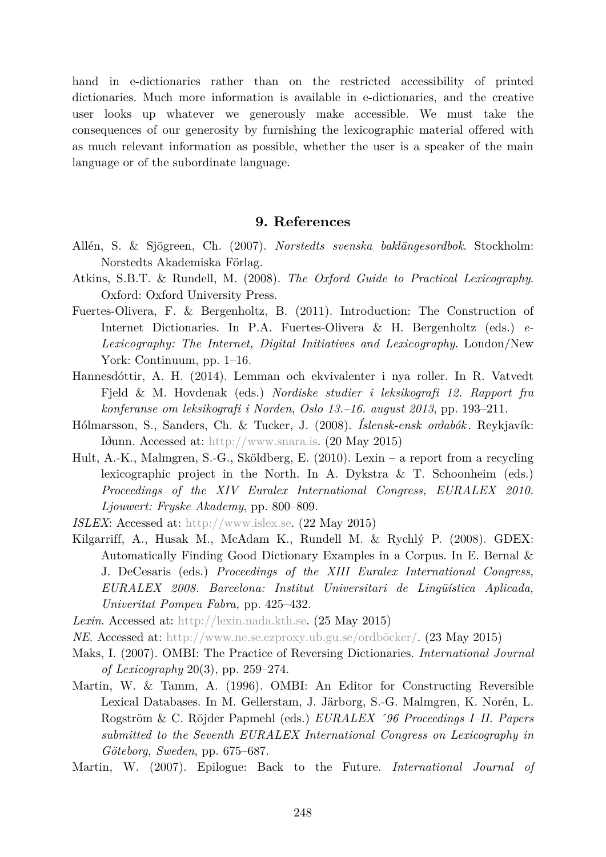hand in e-dictionaries rather than on the restricted accessibility of printed dictionaries. Much more information is available in e-dictionaries, and the creative user looks up whatever we generously make accessible. We must take the consequences of our generosity by furnishing the lexicographic material offered with as much relevant information as possible, whether the user is a speaker of the main language or of the subordinate language.

#### **9. References**

- Allén, S. & Sjögreen, Ch. (2007). *Norstedts svenska baklängesordbok*. Stockholm: Norstedts Akademiska Förlag.
- Atkins, S.B.T. & Rundell, M. (2008). *The Oxford Guide to Practical Lexicography*. Oxford: Oxford University Press.
- Fuertes-Olivera, F. & Bergenholtz, B. (2011). Introduction: The Construction of Internet Dictionaries. In P.A. Fuertes-Olivera & H. Bergenholtz (eds.) *e-Lexicography: The Internet, Digital Initiatives and Lexicography*. London/New York: Continuum, pp. 1–16.
- Hannesdóttir, A. H. (2014). Lemman och ekvivalenter i nya roller. In R. Vatvedt Fjeld & M. Hovdenak (eds.) *Nordiske studier i leksikografi 12. Rapport fra konferanse om leksikografi i Norden*, *Oslo 13.–16. august 2013*, pp. 193–211.
- Hólmarsson, S., Sanders, Ch. & Tucker, J. (2008). *Íslensk-ensk orðabók* . Reykjavík: Iðunn. Accessed at: http:/[/www.snara.is.](http://www.snara.is/) (20 May 2015)
- Hult, A.-K., Malmgren, S.-G., Sköldberg, E. (2010). Lexin a report from a recycling lexicographic project in the North. In A. Dykstra & T. Schoonheim (eds.) *Proceedings of the XIV Euralex International Congress, EURALEX 2010. Ljouwert: Fryske Akademy*, pp. 800–809.
- *ISLEX*: Accessed at: [http://www.islex.se.](http://www.islex.se/) (22 May 2015)
- Kilgarriff, A., Husak M., McAdam K., Rundell M. & Rychlý P. (2008). GDEX: Automatically Finding Good Dictionary Examples in a Corpus. In E. Bernal & J. DeCesaris (eds.) *Proceedings of the XIII Euralex International Congress, EURALEX 2008. Barcelona: Institut Universitari de Lingüística Aplicada, Univeritat Pompeu Fabra,* pp. 425–432.
- *Lexin*. Accessed at: [http://lexin.nada.kth.se.](http://lexin.nada.kth.se/) (25 May 2015)
- *NE*. Accessed at: [http://www.ne.se.ezproxy.ub.gu.se/ordböcker/.](http://www.ne.se.ezproxy.ub.gu.se/ordböcker/) (23 May 2015)
- Maks, I. (2007). OMBI: The Practice of Reversing Dictionaries. *International Journal of Lexicography* 20(3), pp. 259–274.
- Martin, W. & Tamm, A. (1996). OMBI: An Editor for Constructing Reversible Lexical Databases. In M. Gellerstam, J. Järborg, S.-G. Malmgren, K. Norén, L. Rogström & C. Röjder Papmehl (eds.) *EURALEX ´96 Proceedings I–II. Papers submitted to the Seventh EURALEX International Congress on Lexicography in Göteborg, Sweden*, pp. 675–687.
- Martin, W. (2007). Epilogue: Back to the Future. *International Journal of*